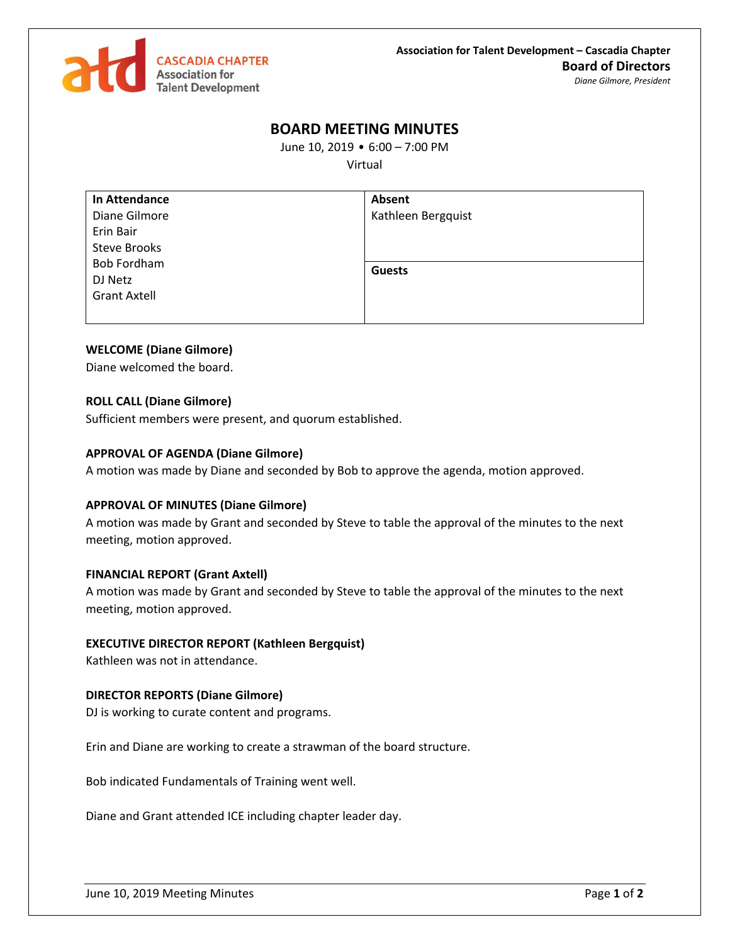

# **BOARD MEETING MINUTES**

June 10, 2019 • 6:00 – 7:00 PM

Virtual

| In Attendance       | Absent             |
|---------------------|--------------------|
| Diane Gilmore       | Kathleen Bergquist |
| Erin Bair           |                    |
| <b>Steve Brooks</b> |                    |
| <b>Bob Fordham</b>  | <b>Guests</b>      |
| DJ Netz             |                    |
| <b>Grant Axtell</b> |                    |
|                     |                    |

## **WELCOME (Diane Gilmore)**

Diane welcomed the board.

## **ROLL CALL (Diane Gilmore)**

Sufficient members were present, and quorum established.

### **APPROVAL OF AGENDA (Diane Gilmore)**

A motion was made by Diane and seconded by Bob to approve the agenda, motion approved.

### **APPROVAL OF MINUTES (Diane Gilmore)**

A motion was made by Grant and seconded by Steve to table the approval of the minutes to the next meeting, motion approved.

### **FINANCIAL REPORT (Grant Axtell)**

A motion was made by Grant and seconded by Steve to table the approval of the minutes to the next meeting, motion approved.

### **EXECUTIVE DIRECTOR REPORT (Kathleen Bergquist)**

Kathleen was not in attendance.

### **DIRECTOR REPORTS (Diane Gilmore)**

DJ is working to curate content and programs.

Erin and Diane are working to create a strawman of the board structure.

Bob indicated Fundamentals of Training went well.

Diane and Grant attended ICE including chapter leader day.